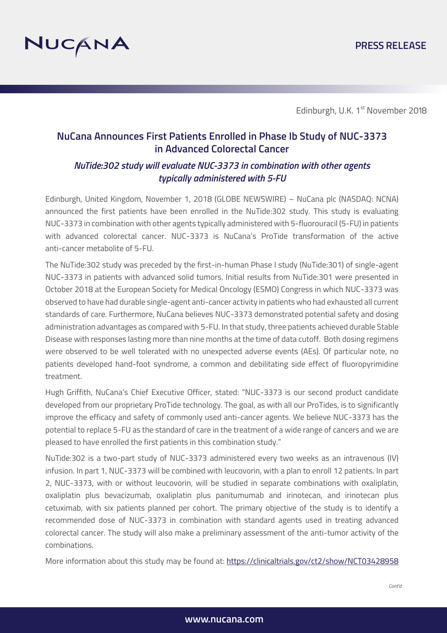

Edinburgh, U.K. 1<sup>st</sup> November 2018

## **NuCana Announces First Patients Enrolled in Phase Ib Study of NUC-3373 in Advanced Colorectal Cancer**

## *NuTide:302 study will evaluate NUC-3373 in combination with other agents typically administered with 5-FU*

Edinburgh, United Kingdom, November 1, 2018 (GLOBE NEWSWIRE) – NuCana plc (NASDAQ: NCNA) announced the first patients have been enrolled in the NuTide:302 study. This study is evaluating NUC-3373 in combination with other agents typically administered with 5-fluorouracil (5-FU) in patients with advanced colorectal cancer. NUC-3373 is NuCana's ProTide transformation of the active anti-cancer metabolite of 5-FU.

The NuTide:302 study was preceded by the first-in-human Phase I study (NuTide:301) of single-agent NUC-3373 in patients with advanced solid tumors. Initial results from NuTide:301 were presented in October 2018 at the European Society for Medical Oncology (ESMO) Congress in which NUC-3373 was observed to have had durable single-agent anti-cancer activity in patients who had exhausted all current standards of care. Furthermore, NuCana believes NUC-3373 demonstrated potential safety and dosing administration advantages as compared with 5-FU. In that study, three patients achieved durable Stable Disease with responses lasting more than nine months at the time of data cutoff. Both dosing regimens were observed to be well tolerated with no unexpected adverse events (AEs). Of particular note, no patients developed hand-foot syndrome, a common and debilitating side effect of fluoropyrimidine treatment.

Hugh Griffith, NuCana's Chief Executive Officer, stated: "NUC-3373 is our second product candidate developed from our proprietary ProTide technology. The goal, as with all our ProTides, is to significantly improve the efficacy and safety of commonly used anti-cancer agents. We believe NUC-3373 has the potential to replace 5-FU as the standard of care in the treatment of a wide range of cancers and we are pleased to have enrolled the first patients in this combination study."

NuTide:302 is a two-part study of NUC-3373 administered every two weeks as an intravenous (IV) infusion. In part 1, NUC-3373 will be combined with leucovorin, with a plan to enroll 12 patients. In part 2, NUC-3373, with or without leucovorin, will be studied in separate combinations with oxaliplatin, oxaliplatin plus bevacizumab, oxaliplatin plus panitumumab and irinotecan, and irinotecan plus cetuximab, with six patients planned per cohort. The primary objective of the study is to identify a recommended dose of NUC-3373 in combination with standard agents used in treating advanced colorectal cancer. The study will also make a preliminary assessment of the anti-tumor activity of the combinations.

More information about this study may be found at: https://clinicaltrials.gov/ct2/show/NCT03428958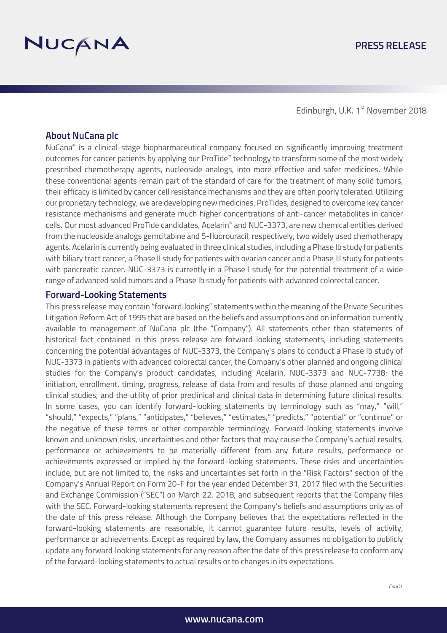

Edinburgh, U.K. 1<sup>st</sup> November 2018

#### **About NuCana plc**

NuCana® is a clinical-stage biopharmaceutical company focused on significantly improving treatment outcomes for cancer patients by applying our ProTide™ technology to transform some of the most widely prescribed chemotherapy agents, nucleoside analogs, into more effective and safer medicines. While these conventional agents remain part of the standard of care for the treatment of many solid tumors, their efficacy is limited by cancer cell resistance mechanisms and they are often poorly tolerated. Utilizing our proprietary technology, we are developing new medicines, ProTides, designed to overcome key cancer resistance mechanisms and generate much higher concentrations of anti-cancer metabolites in cancer cells. Our most advanced ProTide candidates, Acelarin® and NUC-3373, are new chemical entities derived from the nucleoside analogs gemcitabine and 5-fluorouracil, respectively, two widely used chemotherapy agents. Acelarin is currently being evaluated in three clinical studies, including a Phase Ib study for patients with biliary tract cancer, a Phase II study for patients with ovarian cancer and a Phase III study for patients with pancreatic cancer. NUC-3373 is currently in a Phase I study for the potential treatment of a wide range of advanced solid tumors and a Phase Ib study for patients with advanced colorectal cancer.

#### **Forward-Looking Statements**

This press release may contain "forward‐looking" statements within the meaning of the Private Securities Litigation Reform Act of 1995 that are based on the beliefs and assumptions and on information currently available to management of NuCana plc (the "Company"). All statements other than statements of historical fact contained in this press release are forward-looking statements, including statements concerning the potential advantages of NUC-3373, the Company's plans to conduct a Phase Ib study of NUC-3373 in patients with advanced colorectal cancer, the Company's other planned and ongoing clinical studies for the Company's product candidates, including Acelarin, NUC-3373 and NUC-7738; the initiation, enrollment, timing, progress, release of data from and results of those planned and ongoing clinical studies; and the utility of prior preclinical and clinical data in determining future clinical results. In some cases, you can identify forward-looking statements by terminology such as "may," "will," "should," "expects," "plans," "anticipates," "believes," "estimates," "predicts," "potential" or "continue" or the negative of these terms or other comparable terminology. Forward-looking statements involve known and unknown risks, uncertainties and other factors that may cause the Company's actual results, performance or achievements to be materially different from any future results, performance or achievements expressed or implied by the forward-looking statements. These risks and uncertainties include, but are not limited to, the risks and uncertainties set forth in the "Risk Factors" section of the Company's Annual Report on Form 20-F for the year ended December 31, 2017 filed with the Securities and Exchange Commission ("SEC") on March 22, 2018, and subsequent reports that the Company files with the SEC. Forward-looking statements represent the Company's beliefs and assumptions only as of the date of this press release. Although the Company believes that the expectations reflected in the forward-looking statements are reasonable, it cannot guarantee future results, levels of activity, performance or achievements. Except as required by law, the Company assumes no obligation to publicly update any forward‐looking statements for any reason after the date of this press release to conform any of the forward-looking statements to actual results or to changes in its expectations.